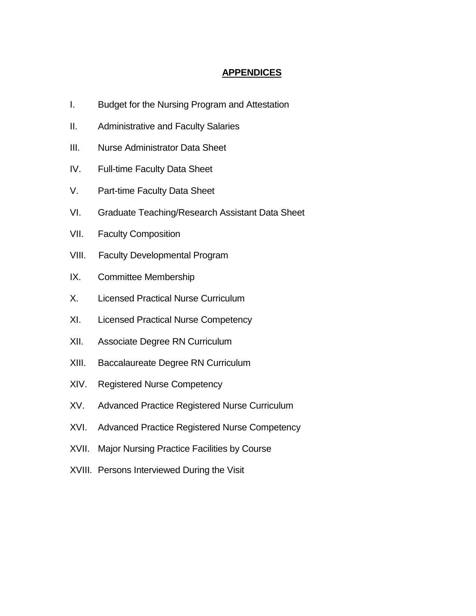# **APPENDICES**

- I. Budget for the Nursing Program and Attestation
- II. Administrative and Faculty Salaries
- III. Nurse Administrator Data Sheet
- IV. Full-time Faculty Data Sheet
- V. Part-time Faculty Data Sheet
- VI. Graduate Teaching/Research Assistant Data Sheet
- VII. Faculty Composition
- VIII. Faculty Developmental Program
- IX. Committee Membership
- X. Licensed Practical Nurse Curriculum
- XI. Licensed Practical Nurse Competency
- XII. Associate Degree RN Curriculum
- XIII. Baccalaureate Degree RN Curriculum
- XIV. Registered Nurse Competency
- XV. Advanced Practice Registered Nurse Curriculum
- XVI. Advanced Practice Registered Nurse Competency
- XVII. Major Nursing Practice Facilities by Course
- XVIII. Persons Interviewed During the Visit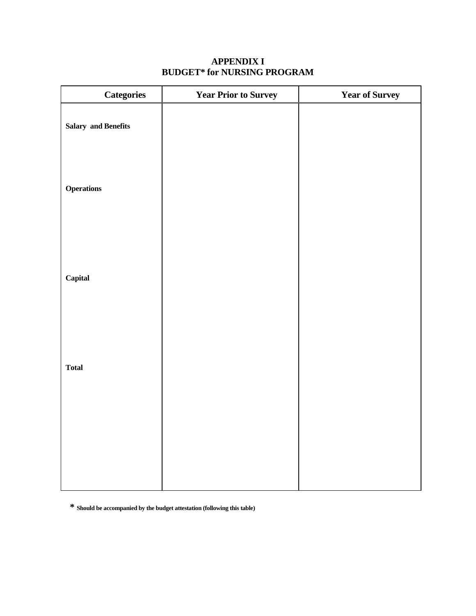| <b>Categories</b>          | <b>Year Prior to Survey</b> | <b>Year of Survey</b> |
|----------------------------|-----------------------------|-----------------------|
| <b>Salary and Benefits</b> |                             |                       |
| <b>Operations</b>          |                             |                       |
| Capital                    |                             |                       |
| <b>Total</b>               |                             |                       |
|                            |                             |                       |
|                            |                             |                       |

# **APPENDIX I BUDGET\* for NURSING PROGRAM**

**\* Should be accompanied by the budget attestation (following this table)**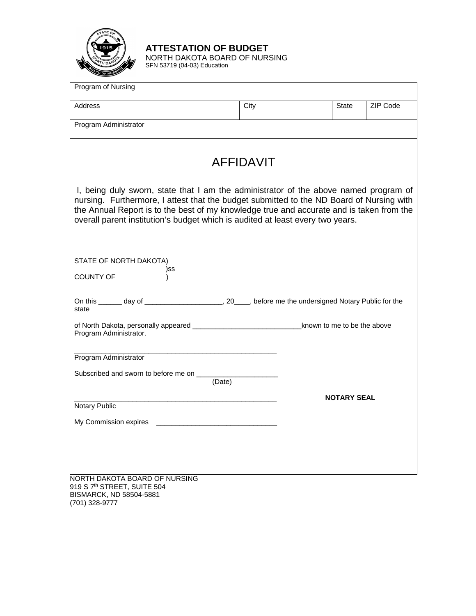

**ATTESTATION OF BUDGET**

NORTH DAKOTA BOARD OF NURSING SFN 53719 (04-03) Education

| Program of Nursing                                                                                                                                                                                                                                                                                                                                             |                  |                    |          |
|----------------------------------------------------------------------------------------------------------------------------------------------------------------------------------------------------------------------------------------------------------------------------------------------------------------------------------------------------------------|------------------|--------------------|----------|
| Address                                                                                                                                                                                                                                                                                                                                                        | City             | State              | ZIP Code |
| Program Administrator                                                                                                                                                                                                                                                                                                                                          |                  |                    |          |
|                                                                                                                                                                                                                                                                                                                                                                |                  |                    |          |
|                                                                                                                                                                                                                                                                                                                                                                | <b>AFFIDAVIT</b> |                    |          |
| I, being duly sworn, state that I am the administrator of the above named program of<br>nursing. Furthermore, I attest that the budget submitted to the ND Board of Nursing with<br>the Annual Report is to the best of my knowledge true and accurate and is taken from the<br>overall parent institution's budget which is audited at least every two years. |                  |                    |          |
| STATE OF NORTH DAKOTA)<br>)SS<br><b>COUNTY OF</b>                                                                                                                                                                                                                                                                                                              |                  |                    |          |
| On this ______ day of ___________________________, 20____, before me the undersigned Notary Public for the<br>state                                                                                                                                                                                                                                            |                  |                    |          |
| Program Administrator.                                                                                                                                                                                                                                                                                                                                         |                  |                    |          |
| Program Administrator                                                                                                                                                                                                                                                                                                                                          |                  |                    |          |
| Subscribed and sworn to before me on __________<br>(Date)                                                                                                                                                                                                                                                                                                      |                  |                    |          |
| Notary Public                                                                                                                                                                                                                                                                                                                                                  |                  | <b>NOTARY SEAL</b> |          |
| My Commission expires                                                                                                                                                                                                                                                                                                                                          |                  |                    |          |
|                                                                                                                                                                                                                                                                                                                                                                |                  |                    |          |
|                                                                                                                                                                                                                                                                                                                                                                |                  |                    |          |
| NORTH DAKOTA BOARD OF NURSING<br>919 S 7 <sup>th</sup> STREET, SUITE 504<br>BISMARCK, ND 58504-5881                                                                                                                                                                                                                                                            |                  |                    |          |

(701) 328-9777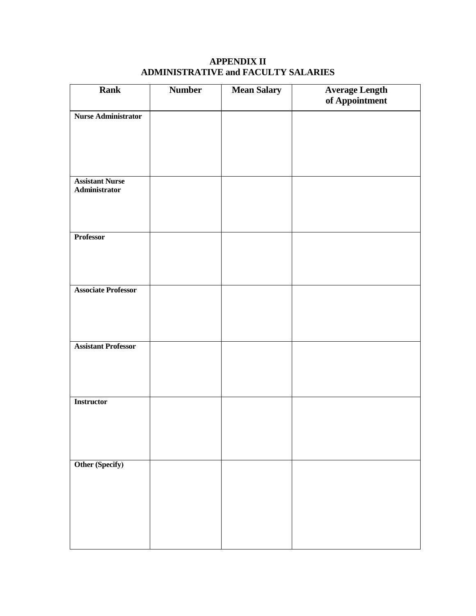| <b>Rank</b>                             | <b>Number</b> | <b>Mean Salary</b> | <b>Average Length</b><br>of Appointment |
|-----------------------------------------|---------------|--------------------|-----------------------------------------|
| <b>Nurse Administrator</b>              |               |                    |                                         |
|                                         |               |                    |                                         |
|                                         |               |                    |                                         |
| <b>Assistant Nurse</b><br>Administrator |               |                    |                                         |
|                                         |               |                    |                                         |
| <b>Professor</b>                        |               |                    |                                         |
|                                         |               |                    |                                         |
| <b>Associate Professor</b>              |               |                    |                                         |
|                                         |               |                    |                                         |
| <b>Assistant Professor</b>              |               |                    |                                         |
|                                         |               |                    |                                         |
| <b>Instructor</b>                       |               |                    |                                         |
|                                         |               |                    |                                         |
|                                         |               |                    |                                         |
| Other (Specify)                         |               |                    |                                         |
|                                         |               |                    |                                         |
|                                         |               |                    |                                         |
|                                         |               |                    |                                         |

# **APPENDIX II ADMINISTRATIVE and FACULTY SALARIES**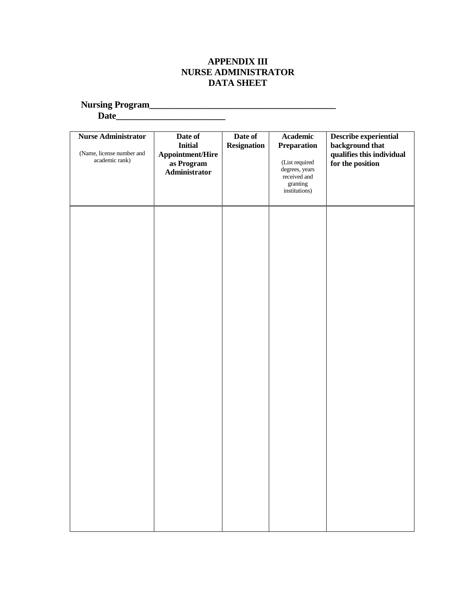## **APPENDIX III NURSE ADMINISTRATOR DATA SHEET**

**Nursing Program\_\_\_\_\_\_\_\_\_\_\_\_\_\_\_\_\_\_\_\_\_\_\_\_\_\_\_\_\_\_\_\_\_\_\_\_\_\_\_\_\_**

**Date\_\_\_\_\_\_\_\_\_\_\_\_\_\_\_\_\_\_\_\_\_\_\_\_**

| <b>Nurse Administrator</b><br>(Name, license number and<br>academic rank) | Date of<br>Initial<br>Appointment/Hire<br>as Program<br>Administrator | Date of<br><b>Resignation</b> | Academic<br><b>Preparation</b><br>(List required<br>degrees, years<br>received and<br>granting<br>institutions) | Describe experiential<br>background that<br>qualifies this individual<br>for the position |
|---------------------------------------------------------------------------|-----------------------------------------------------------------------|-------------------------------|-----------------------------------------------------------------------------------------------------------------|-------------------------------------------------------------------------------------------|
|                                                                           |                                                                       |                               |                                                                                                                 |                                                                                           |
|                                                                           |                                                                       |                               |                                                                                                                 |                                                                                           |
|                                                                           |                                                                       |                               |                                                                                                                 |                                                                                           |
|                                                                           |                                                                       |                               |                                                                                                                 |                                                                                           |
|                                                                           |                                                                       |                               |                                                                                                                 |                                                                                           |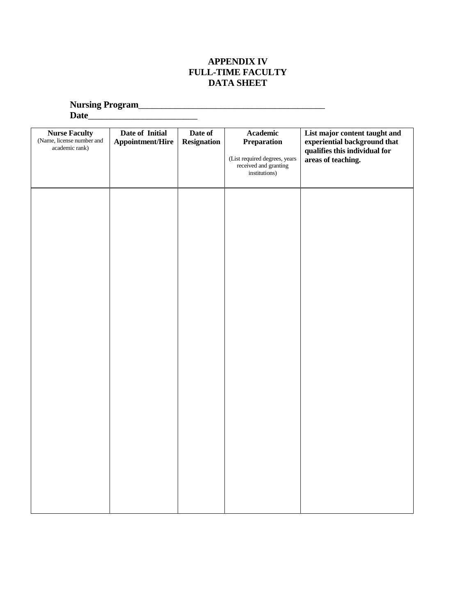# **APPENDIX IV FULL-TIME FACULTY DATA SHEET**

**Nursing Program**\_\_\_\_\_\_\_\_\_\_\_\_\_\_\_\_\_\_\_\_\_\_\_\_\_\_\_\_\_\_\_\_\_\_\_\_\_\_\_\_\_

**Date**\_\_\_\_\_\_\_\_\_\_\_\_\_\_\_\_\_\_\_\_\_\_\_\_

| <b>Nurse Faculty</b><br>(Name, license number and<br>academic rank) | Date of Initial<br><b>Appointment/Hire</b> | Date of<br><b>Resignation</b> | Academic<br><b>Preparation</b><br>(List required degrees, years<br>received and granting<br>institutions) | List major content taught and<br>experiential background that<br>qualifies this individual for<br>areas of teaching. |
|---------------------------------------------------------------------|--------------------------------------------|-------------------------------|-----------------------------------------------------------------------------------------------------------|----------------------------------------------------------------------------------------------------------------------|
|                                                                     |                                            |                               |                                                                                                           |                                                                                                                      |
|                                                                     |                                            |                               |                                                                                                           |                                                                                                                      |
|                                                                     |                                            |                               |                                                                                                           |                                                                                                                      |
|                                                                     |                                            |                               |                                                                                                           |                                                                                                                      |
|                                                                     |                                            |                               |                                                                                                           |                                                                                                                      |
|                                                                     |                                            |                               |                                                                                                           |                                                                                                                      |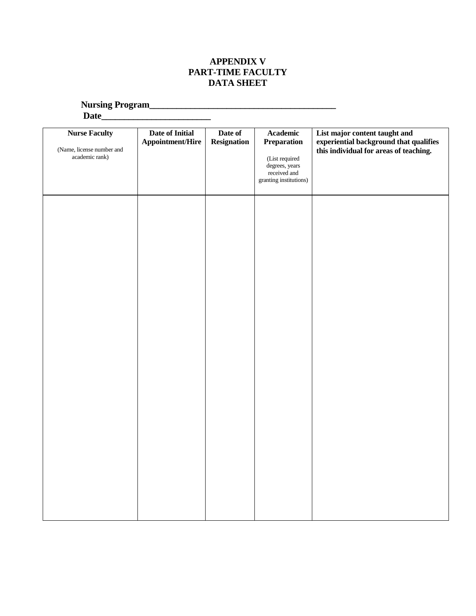# **APPENDIX V PART-TIME FACULTY DATA SHEET**

**Nursing Program\_\_\_\_\_\_\_\_\_\_\_\_\_\_\_\_\_\_\_\_\_\_\_\_\_\_\_\_\_\_\_\_\_\_\_\_\_\_\_\_\_**

| <b>Nurse Faculty</b><br>(Name, license number and<br>academic rank) | Date of Initial<br>Appointment/Hire | Date of<br><b>Resignation</b> | Academic<br>Preparation<br>(List required<br>degrees, years<br>received and<br>granting institutions) | List major content taught and<br>experiential background that qualifies<br>this individual for areas of teaching. |
|---------------------------------------------------------------------|-------------------------------------|-------------------------------|-------------------------------------------------------------------------------------------------------|-------------------------------------------------------------------------------------------------------------------|
|                                                                     |                                     |                               |                                                                                                       |                                                                                                                   |
|                                                                     |                                     |                               |                                                                                                       |                                                                                                                   |
|                                                                     |                                     |                               |                                                                                                       |                                                                                                                   |
|                                                                     |                                     |                               |                                                                                                       |                                                                                                                   |
|                                                                     |                                     |                               |                                                                                                       |                                                                                                                   |
|                                                                     |                                     |                               |                                                                                                       |                                                                                                                   |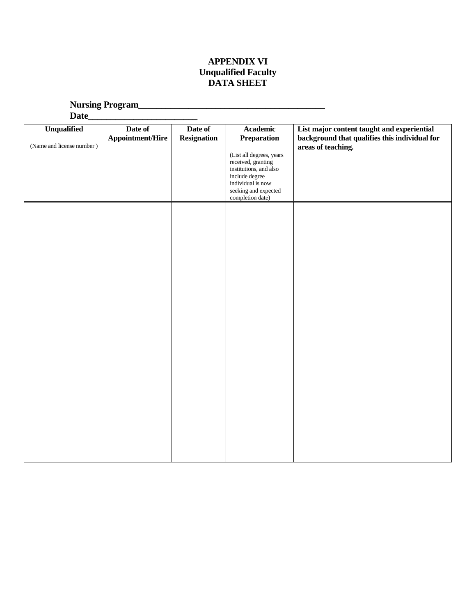# **APPENDIX VI Unqualified Faculty DATA SHEET**

**Nursing Program\_\_\_\_\_\_\_\_\_\_\_\_\_\_\_\_\_\_\_\_\_\_\_\_\_\_\_\_\_\_\_\_\_\_\_\_\_\_\_\_\_**

| Date                                            |                                    |                               |                                                                                                                                                                                               |                                                                                                                   |
|-------------------------------------------------|------------------------------------|-------------------------------|-----------------------------------------------------------------------------------------------------------------------------------------------------------------------------------------------|-------------------------------------------------------------------------------------------------------------------|
| <b>Unqualified</b><br>(Name and license number) | Date of<br><b>Appointment/Hire</b> | Date of<br><b>Resignation</b> | <b>Academic</b><br>Preparation<br>(List all degrees, years<br>received, granting<br>institutions, and also<br>include degree<br>individual is now<br>seeking and expected<br>completion date) | List major content taught and experiential<br>background that qualifies this individual for<br>areas of teaching. |
|                                                 |                                    |                               |                                                                                                                                                                                               |                                                                                                                   |
|                                                 |                                    |                               |                                                                                                                                                                                               |                                                                                                                   |
|                                                 |                                    |                               |                                                                                                                                                                                               |                                                                                                                   |
|                                                 |                                    |                               |                                                                                                                                                                                               |                                                                                                                   |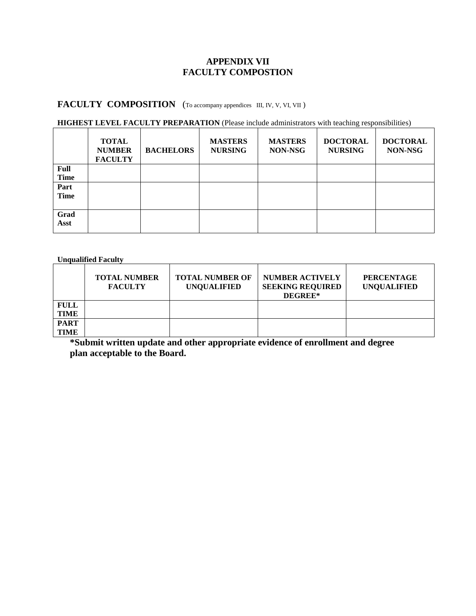### **APPENDIX VII FACULTY COMPOSTION**

# **FACULTY COMPOSITION** (To accompany appendices III, IV, V, VI, VII )

#### **HIGHEST LEVEL FACULTY PREPARATION** (Please include administrators with teaching responsibilities)

|             | <b>TOTAL</b><br><b>NUMBER</b><br><b>FACULTY</b> | <b>BACHELORS</b> | <b>MASTERS</b><br><b>NURSING</b> | <b>MASTERS</b><br>NON-NSG | <b>DOCTORAL</b><br><b>NURSING</b> | <b>DOCTORAL</b><br>NON-NSG |
|-------------|-------------------------------------------------|------------------|----------------------------------|---------------------------|-----------------------------------|----------------------------|
| Full        |                                                 |                  |                                  |                           |                                   |                            |
| <b>Time</b> |                                                 |                  |                                  |                           |                                   |                            |
| Part        |                                                 |                  |                                  |                           |                                   |                            |
| <b>Time</b> |                                                 |                  |                                  |                           |                                   |                            |
|             |                                                 |                  |                                  |                           |                                   |                            |
| Grad        |                                                 |                  |                                  |                           |                                   |                            |
| Asst        |                                                 |                  |                                  |                           |                                   |                            |
|             |                                                 |                  |                                  |                           |                                   |                            |

**Unqualified Faculty** 

|             | <b>TOTAL NUMBER</b><br><b>FACULTY</b> | <b>TOTAL NUMBER OF</b><br><b>UNOUALIFIED</b> | <b>NUMBER ACTIVELY</b><br><b>SEEKING REQUIRED</b><br><b>DEGREE*</b> | <b>PERCENTAGE</b><br><b>UNOUALIFIED</b> |
|-------------|---------------------------------------|----------------------------------------------|---------------------------------------------------------------------|-----------------------------------------|
| <b>FULL</b> |                                       |                                              |                                                                     |                                         |
| <b>TIME</b> |                                       |                                              |                                                                     |                                         |
| <b>PART</b> |                                       |                                              |                                                                     |                                         |
| <b>TIME</b> |                                       |                                              |                                                                     |                                         |

**\*Submit written update and other appropriate evidence of enrollment and degree plan acceptable to the Board.**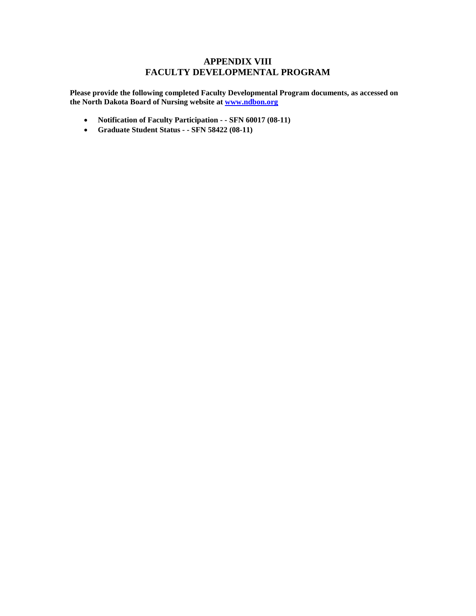### **APPENDIX VIII FACULTY DEVELOPMENTAL PROGRAM**

**Please provide the following completed Faculty Developmental Program documents, as accessed on the North Dakota Board of Nursing website at [www.ndbon.org](http://www.ndbon.org/)** 

- **Notification of Faculty Participation - SFN 60017 (08-11)**
- **Graduate Student Status - SFN 58422 (08-11)**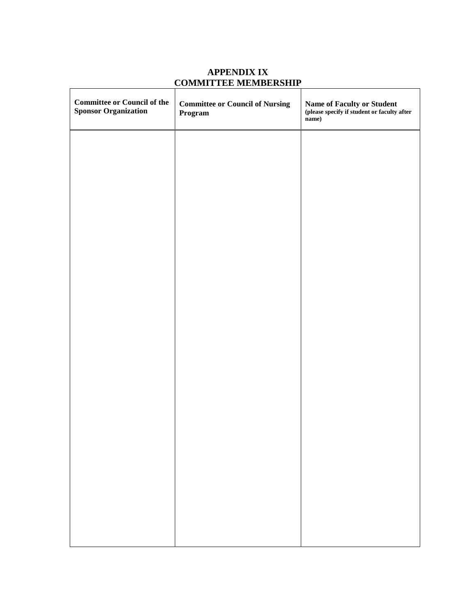| <b>Committee or Council of the</b><br><b>Sponsor Organization</b> | <b>Committee or Council of Nursing</b><br>Program | Name of Faculty or Student<br>(please specify if student or faculty after<br>name) |
|-------------------------------------------------------------------|---------------------------------------------------|------------------------------------------------------------------------------------|
|                                                                   |                                                   |                                                                                    |
|                                                                   |                                                   |                                                                                    |
|                                                                   |                                                   |                                                                                    |
|                                                                   |                                                   |                                                                                    |
|                                                                   |                                                   |                                                                                    |
|                                                                   |                                                   |                                                                                    |
|                                                                   |                                                   |                                                                                    |
|                                                                   |                                                   |                                                                                    |
|                                                                   |                                                   |                                                                                    |
|                                                                   |                                                   |                                                                                    |
|                                                                   |                                                   |                                                                                    |

# **APPENDIX IX COMMITTEE MEMBERSHIP**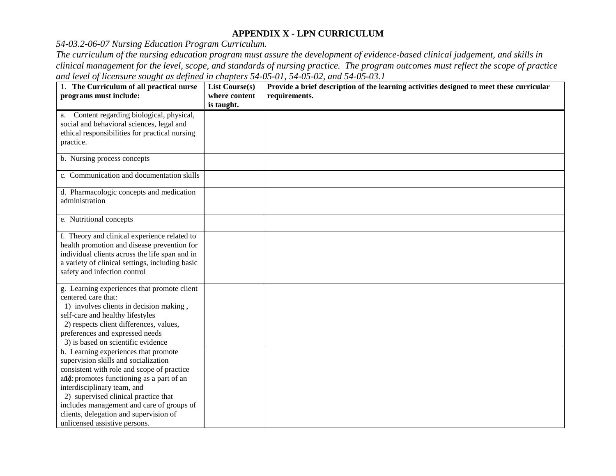### **APPENDIX X - LPN CURRICULUM**

*54-03.2-06-07 Nursing Education Program Curriculum.* 

*The curriculum of the nursing education program must assure the development of evidence-based clinical judgement, and skills in clinical management for the level, scope, and standards of nursing practice. The program outcomes must reflect the scope of practice and level of licensure sought as defined in chapters 54-05-01, 54-05-02, and 54-05-03.1* 

| 1. The Curriculum of all practical nurse<br>programs must include:                                                                                                                                                                                                                                                                                                     | <b>List Course(s)</b><br>where content<br>is taught. | Provide a brief description of the learning activities designed to meet these curricular<br>requirements. |
|------------------------------------------------------------------------------------------------------------------------------------------------------------------------------------------------------------------------------------------------------------------------------------------------------------------------------------------------------------------------|------------------------------------------------------|-----------------------------------------------------------------------------------------------------------|
| a. Content regarding biological, physical,<br>social and behavioral sciences, legal and<br>ethical responsibilities for practical nursing<br>practice.                                                                                                                                                                                                                 |                                                      |                                                                                                           |
| b. Nursing process concepts                                                                                                                                                                                                                                                                                                                                            |                                                      |                                                                                                           |
| c. Communication and documentation skills                                                                                                                                                                                                                                                                                                                              |                                                      |                                                                                                           |
| d. Pharmacologic concepts and medication<br>administration                                                                                                                                                                                                                                                                                                             |                                                      |                                                                                                           |
| e. Nutritional concepts                                                                                                                                                                                                                                                                                                                                                |                                                      |                                                                                                           |
| f. Theory and clinical experience related to<br>health promotion and disease prevention for<br>individual clients across the life span and in<br>a variety of clinical settings, including basic<br>safety and infection control                                                                                                                                       |                                                      |                                                                                                           |
| g. Learning experiences that promote client<br>centered care that:<br>1) involves clients in decision making,<br>self-care and healthy lifestyles<br>2) respects client differences, values,<br>preferences and expressed needs<br>3) is based on scientific evidence                                                                                                  |                                                      |                                                                                                           |
| h. Learning experiences that promote<br>supervision skills and socialization<br>consistent with role and scope of practice<br>and: promotes functioning as a part of an<br>interdisciplinary team, and<br>2) supervised clinical practice that<br>includes management and care of groups of<br>clients, delegation and supervision of<br>unlicensed assistive persons. |                                                      |                                                                                                           |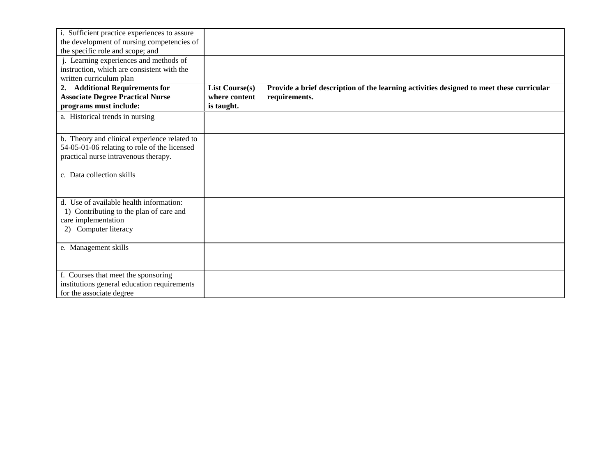| i. Sufficient practice experiences to assure<br>the development of nursing competencies of<br>the specific role and scope; and<br>j. Learning experiences and methods of<br>instruction, which are consistent with the |                                                      |                                                                                                           |
|------------------------------------------------------------------------------------------------------------------------------------------------------------------------------------------------------------------------|------------------------------------------------------|-----------------------------------------------------------------------------------------------------------|
| written curriculum plan<br><b>Additional Requirements for</b><br>2.<br><b>Associate Degree Practical Nurse</b><br>programs must include:                                                                               | <b>List Course(s)</b><br>where content<br>is taught. | Provide a brief description of the learning activities designed to meet these curricular<br>requirements. |
| a. Historical trends in nursing                                                                                                                                                                                        |                                                      |                                                                                                           |
| b. Theory and clinical experience related to<br>54-05-01-06 relating to role of the licensed<br>practical nurse intravenous therapy.                                                                                   |                                                      |                                                                                                           |
| c. Data collection skills                                                                                                                                                                                              |                                                      |                                                                                                           |
| d. Use of available health information:<br>1) Contributing to the plan of care and<br>care implementation<br>Computer literacy<br>2)                                                                                   |                                                      |                                                                                                           |
| e. Management skills                                                                                                                                                                                                   |                                                      |                                                                                                           |
| f. Courses that meet the sponsoring<br>institutions general education requirements<br>for the associate degree                                                                                                         |                                                      |                                                                                                           |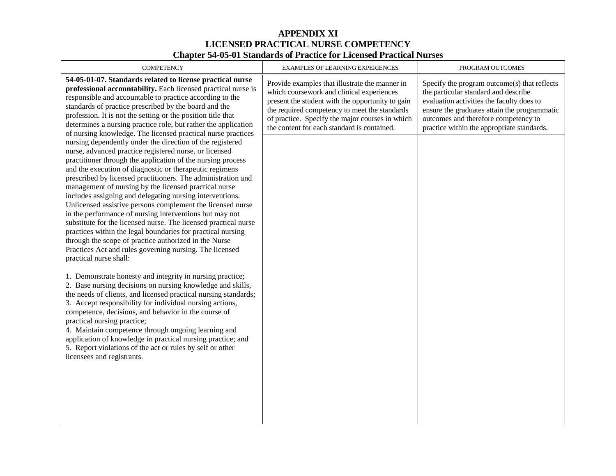### **APPENDIX XI LICENSED PRACTICAL NURSE COMPETENCY Chapter 54-05-01 Standards of Practice for Licensed Practical Nurses**

| <b>COMPETENCY</b>                                                                                                                                                                                                                                                                                                                                                                                                                                                                                                                                                                                                                                                                                                                                    | EXAMPLES OF LEARNING EXPERIENCES                                                                                                                                                                                                                                                                   | PROGRAM OUTCOMES                                                                                                                                                                                                                                                        |
|------------------------------------------------------------------------------------------------------------------------------------------------------------------------------------------------------------------------------------------------------------------------------------------------------------------------------------------------------------------------------------------------------------------------------------------------------------------------------------------------------------------------------------------------------------------------------------------------------------------------------------------------------------------------------------------------------------------------------------------------------|----------------------------------------------------------------------------------------------------------------------------------------------------------------------------------------------------------------------------------------------------------------------------------------------------|-------------------------------------------------------------------------------------------------------------------------------------------------------------------------------------------------------------------------------------------------------------------------|
| 54-05-01-07. Standards related to license practical nurse<br>professional accountability. Each licensed practical nurse is<br>responsible and accountable to practice according to the<br>standards of practice prescribed by the board and the<br>profession. It is not the setting or the position title that<br>determines a nursing practice role, but rather the application<br>of nursing knowledge. The licensed practical nurse practices<br>nursing dependently under the direction of the registered                                                                                                                                                                                                                                       | Provide examples that illustrate the manner in<br>which coursework and clinical experiences<br>present the student with the opportunity to gain<br>the required competency to meet the standards<br>of practice. Specify the major courses in which<br>the content for each standard is contained. | Specify the program outcome(s) that reflects<br>the particular standard and describe<br>evaluation activities the faculty does to<br>ensure the graduates attain the programmatic<br>outcomes and therefore competency to<br>practice within the appropriate standards. |
| nurse, advanced practice registered nurse, or licensed<br>practitioner through the application of the nursing process<br>and the execution of diagnostic or therapeutic regimens<br>prescribed by licensed practitioners. The administration and<br>management of nursing by the licensed practical nurse<br>includes assigning and delegating nursing interventions.<br>Unlicensed assistive persons complement the licensed nurse<br>in the performance of nursing interventions but may not<br>substitute for the licensed nurse. The licensed practical nurse<br>practices within the legal boundaries for practical nursing<br>through the scope of practice authorized in the Nurse<br>Practices Act and rules governing nursing. The licensed |                                                                                                                                                                                                                                                                                                    |                                                                                                                                                                                                                                                                         |
| practical nurse shall:<br>1. Demonstrate honesty and integrity in nursing practice;<br>2. Base nursing decisions on nursing knowledge and skills,<br>the needs of clients, and licensed practical nursing standards;<br>3. Accept responsibility for individual nursing actions,<br>competence, decisions, and behavior in the course of<br>practical nursing practice;<br>4. Maintain competence through ongoing learning and<br>application of knowledge in practical nursing practice; and<br>5. Report violations of the act or rules by self or other<br>licensees and registrants.                                                                                                                                                             |                                                                                                                                                                                                                                                                                                    |                                                                                                                                                                                                                                                                         |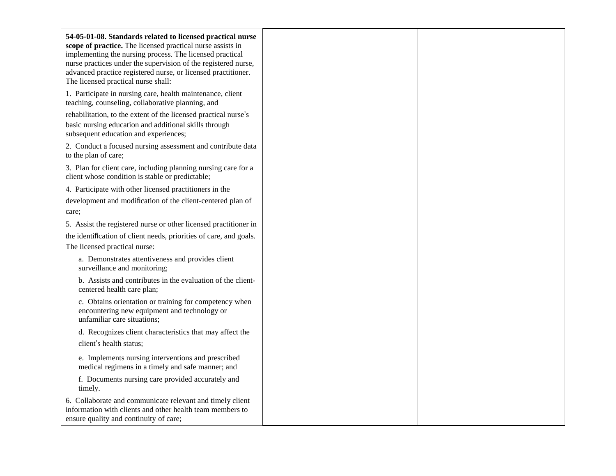| 54-05-01-08. Standards related to licensed practical nurse<br>scope of practice. The licensed practical nurse assists in<br>implementing the nursing process. The licensed practical<br>nurse practices under the supervision of the registered nurse,<br>advanced practice registered nurse, or licensed practitioner.<br>The licensed practical nurse shall: |
|----------------------------------------------------------------------------------------------------------------------------------------------------------------------------------------------------------------------------------------------------------------------------------------------------------------------------------------------------------------|
| 1. Participate in nursing care, health maintenance, client<br>teaching, counseling, collaborative planning, and                                                                                                                                                                                                                                                |
| rehabilitation, to the extent of the licensed practical nurse's                                                                                                                                                                                                                                                                                                |
| basic nursing education and additional skills through<br>subsequent education and experiences;                                                                                                                                                                                                                                                                 |
| 2. Conduct a focused nursing assessment and contribute data<br>to the plan of care;                                                                                                                                                                                                                                                                            |
| 3. Plan for client care, including planning nursing care for a<br>client whose condition is stable or predictable;                                                                                                                                                                                                                                             |
| 4. Participate with other licensed practitioners in the                                                                                                                                                                                                                                                                                                        |
| development and modification of the client-centered plan of                                                                                                                                                                                                                                                                                                    |
| care;                                                                                                                                                                                                                                                                                                                                                          |
| 5. Assist the registered nurse or other licensed practitioner in                                                                                                                                                                                                                                                                                               |
| the identification of client needs, priorities of care, and goals.<br>The licensed practical nurse:                                                                                                                                                                                                                                                            |
| a. Demonstrates attentiveness and provides client<br>surveillance and monitoring;                                                                                                                                                                                                                                                                              |
| b. Assists and contributes in the evaluation of the client-<br>centered health care plan;                                                                                                                                                                                                                                                                      |
| c. Obtains orientation or training for competency when<br>encountering new equipment and technology or<br>unfamiliar care situations;                                                                                                                                                                                                                          |
| d. Recognizes client characteristics that may affect the                                                                                                                                                                                                                                                                                                       |
| client's health status;                                                                                                                                                                                                                                                                                                                                        |
| e. Implements nursing interventions and prescribed<br>medical regimens in a timely and safe manner; and                                                                                                                                                                                                                                                        |
| f. Documents nursing care provided accurately and<br>timely.                                                                                                                                                                                                                                                                                                   |
| 6. Collaborate and communicate relevant and timely client<br>information with clients and other health team members to<br>ensure quality and continuity of care;                                                                                                                                                                                               |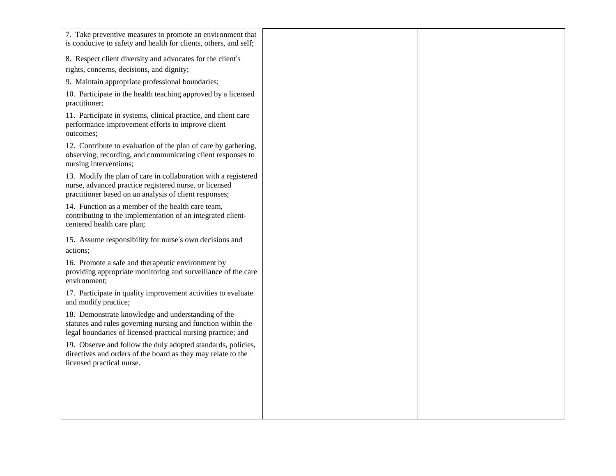| 7. Take preventive measures to promote an environment that<br>is conducive to safety and health for clients, others, and self;                                                     |  |
|------------------------------------------------------------------------------------------------------------------------------------------------------------------------------------|--|
| 8. Respect client diversity and advocates for the client's                                                                                                                         |  |
| rights, concerns, decisions, and dignity;                                                                                                                                          |  |
| 9. Maintain appropriate professional boundaries;                                                                                                                                   |  |
| 10. Participate in the health teaching approved by a licensed<br>practitioner;                                                                                                     |  |
| 11. Participate in systems, clinical practice, and client care<br>performance improvement efforts to improve client<br>outcomes;                                                   |  |
| 12. Contribute to evaluation of the plan of care by gathering,<br>observing, recording, and communicating client responses to<br>nursing interventions;                            |  |
| 13. Modify the plan of care in collaboration with a registered<br>nurse, advanced practice registered nurse, or licensed<br>practitioner based on an analysis of client responses; |  |
| 14. Function as a member of the health care team,<br>contributing to the implementation of an integrated client-<br>centered health care plan;                                     |  |
| 15. Assume responsibility for nurse's own decisions and                                                                                                                            |  |
| actions:                                                                                                                                                                           |  |
| 16. Promote a safe and therapeutic environment by<br>providing appropriate monitoring and surveillance of the care<br>environment;                                                 |  |
| 17. Participate in quality improvement activities to evaluate<br>and modify practice;                                                                                              |  |
| 18. Demonstrate knowledge and understanding of the<br>statutes and rules governing nursing and function within the<br>legal boundaries of licensed practical nursing practice; and |  |
| 19. Observe and follow the duly adopted standards, policies,<br>directives and orders of the board as they may relate to the<br>licensed practical nurse.                          |  |
|                                                                                                                                                                                    |  |
|                                                                                                                                                                                    |  |
|                                                                                                                                                                                    |  |
|                                                                                                                                                                                    |  |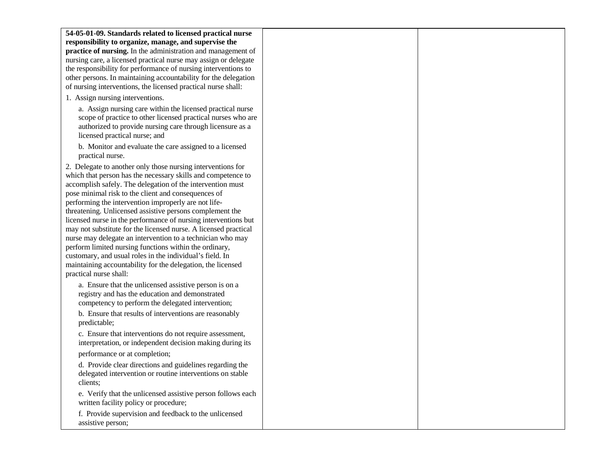| 54-05-01-09. Standards related to licensed practical nurse      |  |
|-----------------------------------------------------------------|--|
| responsibility to organize, manage, and supervise the           |  |
| practice of nursing. In the administration and management of    |  |
|                                                                 |  |
| nursing care, a licensed practical nurse may assign or delegate |  |
| the responsibility for performance of nursing interventions to  |  |
| other persons. In maintaining accountability for the delegation |  |
| of nursing interventions, the licensed practical nurse shall:   |  |
| 1. Assign nursing interventions.                                |  |
| a. Assign nursing care within the licensed practical nurse      |  |
| scope of practice to other licensed practical nurses who are    |  |
| authorized to provide nursing care through licensure as a       |  |
| licensed practical nurse; and                                   |  |
| b. Monitor and evaluate the care assigned to a licensed         |  |
| practical nurse.                                                |  |
| 2. Delegate to another only those nursing interventions for     |  |
| which that person has the necessary skills and competence to    |  |
| accomplish safely. The delegation of the intervention must      |  |
| pose minimal risk to the client and consequences of             |  |
| performing the intervention improperly are not life-            |  |
| threatening. Unlicensed assistive persons complement the        |  |
| licensed nurse in the performance of nursing interventions but  |  |
| may not substitute for the licensed nurse. A licensed practical |  |
| nurse may delegate an intervention to a technician who may      |  |
| perform limited nursing functions within the ordinary,          |  |
| customary, and usual roles in the individual's field. In        |  |
| maintaining accountability for the delegation, the licensed     |  |
| practical nurse shall:                                          |  |
|                                                                 |  |
| a. Ensure that the unlicensed assistive person is on a          |  |
| registry and has the education and demonstrated                 |  |
| competency to perform the delegated intervention;               |  |
| b. Ensure that results of interventions are reasonably          |  |
| predictable;                                                    |  |
| c. Ensure that interventions do not require assessment,         |  |
| interpretation, or independent decision making during its       |  |
| performance or at completion;                                   |  |
| d. Provide clear directions and guidelines regarding the        |  |
| delegated intervention or routine interventions on stable       |  |
| clients;                                                        |  |
| e. Verify that the unlicensed assistive person follows each     |  |
| written facility policy or procedure;                           |  |
| f. Provide supervision and feedback to the unlicensed           |  |
| assistive person;                                               |  |
|                                                                 |  |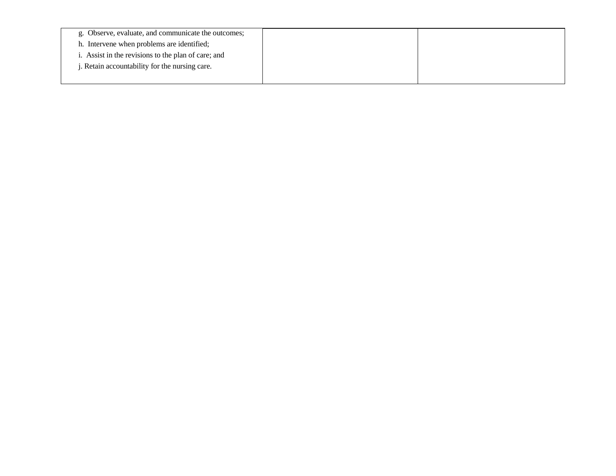| g. Observe, evaluate, and communicate the outcomes; |  |
|-----------------------------------------------------|--|
| h. Intervene when problems are identified;          |  |
| . Assist in the revisions to the plan of care; and  |  |
| . Retain accountability for the nursing care.       |  |
|                                                     |  |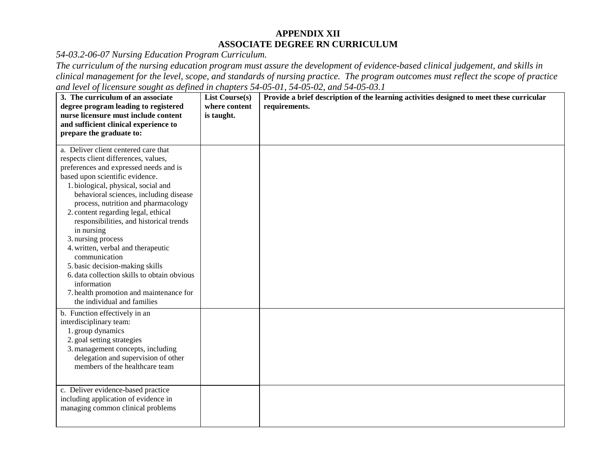### **APPENDIX XII ASSOCIATE DEGREE RN CURRICULUM**

*54-03.2-06-07 Nursing Education Program Curriculum.*

*The curriculum of the nursing education program must assure the development of evidence-based clinical judgement, and skills in clinical management for the level, scope, and standards of nursing practice. The program outcomes must reflect the scope of practice and level of licensure sought as defined in chapters 54-05-01, 54-05-02, and 54-05-03.1*

| 3. The curriculum of an associate                                          | <b>List Course(s)</b> | Provide a brief description of the learning activities designed to meet these curricular |
|----------------------------------------------------------------------------|-----------------------|------------------------------------------------------------------------------------------|
| degree program leading to registered                                       | where content         | requirements.                                                                            |
| nurse licensure must include content                                       | is taught.            |                                                                                          |
| and sufficient clinical experience to                                      |                       |                                                                                          |
| prepare the graduate to:                                                   |                       |                                                                                          |
| a. Deliver client centered care that                                       |                       |                                                                                          |
|                                                                            |                       |                                                                                          |
| respects client differences, values,                                       |                       |                                                                                          |
| preferences and expressed needs and is                                     |                       |                                                                                          |
| based upon scientific evidence.                                            |                       |                                                                                          |
| 1. biological, physical, social and                                        |                       |                                                                                          |
| behavioral sciences, including disease                                     |                       |                                                                                          |
| process, nutrition and pharmacology<br>2. content regarding legal, ethical |                       |                                                                                          |
| responsibilities, and historical trends                                    |                       |                                                                                          |
| in nursing                                                                 |                       |                                                                                          |
| 3. nursing process                                                         |                       |                                                                                          |
| 4. written, verbal and therapeutic                                         |                       |                                                                                          |
| communication                                                              |                       |                                                                                          |
| 5. basic decision-making skills                                            |                       |                                                                                          |
| 6. data collection skills to obtain obvious                                |                       |                                                                                          |
| information                                                                |                       |                                                                                          |
| 7. health promotion and maintenance for                                    |                       |                                                                                          |
| the individual and families                                                |                       |                                                                                          |
| b. Function effectively in an                                              |                       |                                                                                          |
| interdisciplinary team:                                                    |                       |                                                                                          |
| 1. group dynamics                                                          |                       |                                                                                          |
| 2. goal setting strategies                                                 |                       |                                                                                          |
| 3. management concepts, including                                          |                       |                                                                                          |
| delegation and supervision of other                                        |                       |                                                                                          |
| members of the healthcare team                                             |                       |                                                                                          |
|                                                                            |                       |                                                                                          |
| c. Deliver evidence-based practice                                         |                       |                                                                                          |
| including application of evidence in                                       |                       |                                                                                          |
| managing common clinical problems                                          |                       |                                                                                          |
|                                                                            |                       |                                                                                          |
|                                                                            |                       |                                                                                          |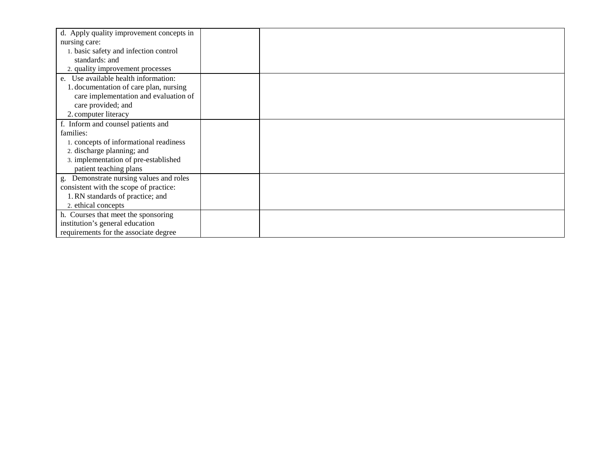| d. Apply quality improvement concepts in   |  |
|--------------------------------------------|--|
| nursing care:                              |  |
| 1. basic safety and infection control      |  |
| standards: and                             |  |
| 2. quality improvement processes           |  |
| e. Use available health information:       |  |
| 1. documentation of care plan, nursing     |  |
| care implementation and evaluation of      |  |
| care provided; and                         |  |
| 2. computer literacy                       |  |
| f. Inform and counsel patients and         |  |
| families:                                  |  |
| 1. concepts of informational readiness     |  |
| 2. discharge planning; and                 |  |
| 3. implementation of pre-established       |  |
| patient teaching plans                     |  |
| Demonstrate nursing values and roles<br>g. |  |
| consistent with the scope of practice:     |  |
| 1. RN standards of practice; and           |  |
| 2. ethical concepts                        |  |
| h. Courses that meet the sponsoring        |  |
| institution's general education            |  |
| requirements for the associate degree      |  |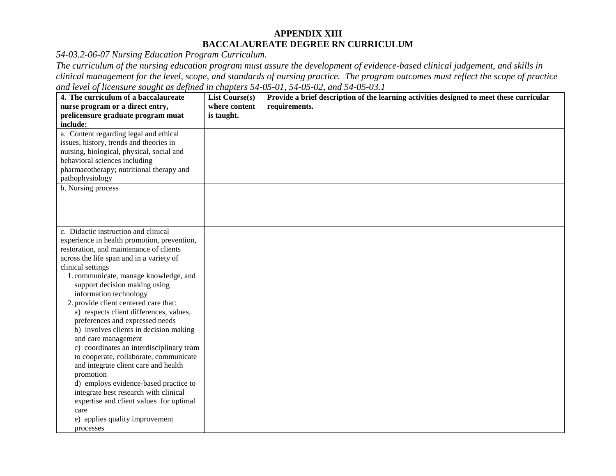### **APPENDIX XIII BACCALAUREATE DEGREE RN CURRICULUM**

*54-03.2-06-07 Nursing Education Program Curriculum.*

*The curriculum of the nursing education program must assure the development of evidence-based clinical judgement, and skills in clinical management for the level, scope, and standards of nursing practice. The program outcomes must reflect the scope of practice and level of licensure sought as defined in chapters 54-05-01, 54-05-02, and 54-05-03.1*

| 4. The curriculum of a baccalaureate        | <b>List Course(s)</b> | Provide a brief description of the learning activities designed to meet these curricular |
|---------------------------------------------|-----------------------|------------------------------------------------------------------------------------------|
| nurse program or a direct entry,            | where content         | requirements.                                                                            |
| prelicensure graduate program muat          | is taught.            |                                                                                          |
| include:                                    |                       |                                                                                          |
| a. Content regarding legal and ethical      |                       |                                                                                          |
| issues, history, trends and theories in     |                       |                                                                                          |
| nursing, biological, physical, social and   |                       |                                                                                          |
| behavioral sciences including               |                       |                                                                                          |
| pharmacotherapy; nutritional therapy and    |                       |                                                                                          |
| pathophysiology                             |                       |                                                                                          |
| b. Nursing process                          |                       |                                                                                          |
|                                             |                       |                                                                                          |
|                                             |                       |                                                                                          |
|                                             |                       |                                                                                          |
|                                             |                       |                                                                                          |
| c. Didactic instruction and clinical        |                       |                                                                                          |
| experience in health promotion, prevention, |                       |                                                                                          |
| restoration, and maintenance of clients     |                       |                                                                                          |
| across the life span and in a variety of    |                       |                                                                                          |
| clinical settings                           |                       |                                                                                          |
| 1. communicate, manage knowledge, and       |                       |                                                                                          |
| support decision making using               |                       |                                                                                          |
| information technology                      |                       |                                                                                          |
| 2. provide client centered care that:       |                       |                                                                                          |
| a) respects client differences, values,     |                       |                                                                                          |
| preferences and expressed needs             |                       |                                                                                          |
| b) involves clients in decision making      |                       |                                                                                          |
| and care management                         |                       |                                                                                          |
| c) coordinates an interdisciplinary team    |                       |                                                                                          |
| to cooperate, collaborate, communicate      |                       |                                                                                          |
| and integrate client care and health        |                       |                                                                                          |
| promotion                                   |                       |                                                                                          |
| d) employs evidence-based practice to       |                       |                                                                                          |
| integrate best research with clinical       |                       |                                                                                          |
| expertise and client values for optimal     |                       |                                                                                          |
| care                                        |                       |                                                                                          |
| e) applies quality improvement              |                       |                                                                                          |
| processes                                   |                       |                                                                                          |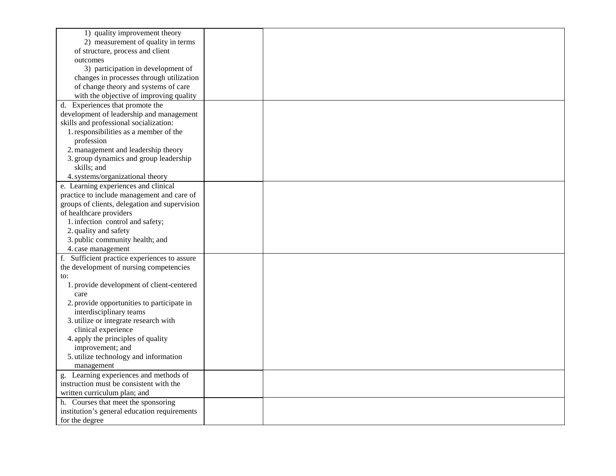| 1) quality improvement theory                 |  |
|-----------------------------------------------|--|
| 2) measurement of quality in terms            |  |
| of structure, process and client              |  |
| outcomes                                      |  |
| 3) participation in development of            |  |
| changes in processes through utilization      |  |
| of change theory and systems of care          |  |
| with the objective of improving quality       |  |
| d. Experiences that promote the               |  |
| development of leadership and management      |  |
| skills and professional socialization:        |  |
| 1. responsibilities as a member of the        |  |
| profession                                    |  |
| 2. management and leadership theory           |  |
| 3. group dynamics and group leadership        |  |
| skills; and                                   |  |
| 4. systems/organizational theory              |  |
| e. Learning experiences and clinical          |  |
| practice to include management and care of    |  |
| groups of clients, delegation and supervision |  |
| of healthcare providers                       |  |
| 1. infection control and safety;              |  |
| 2. quality and safety                         |  |
| 3. public community health; and               |  |
| 4. case management                            |  |
| f. Sufficient practice experiences to assure  |  |
| the development of nursing competencies       |  |
| to:                                           |  |
| 1. provide development of client-centered     |  |
| care                                          |  |
| 2. provide opportunities to participate in    |  |
| interdisciplinary teams                       |  |
| 3. utilize or integrate research with         |  |
| clinical experience                           |  |
| 4. apply the principles of quality            |  |
| improvement; and                              |  |
| 5. utilize technology and information         |  |
| management                                    |  |
| g. Learning experiences and methods of        |  |
| instruction must be consistent with the       |  |
| written curriculum plan; and                  |  |
| h. Courses that meet the sponsoring           |  |
| institution's general education requirements  |  |
| for the degree                                |  |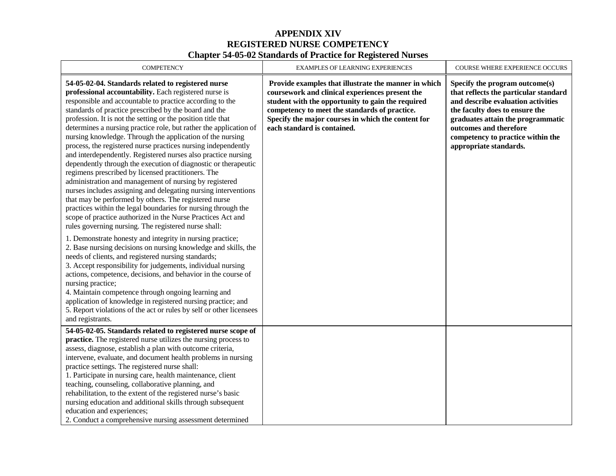### **APPENDIX XIV REGISTERED NURSE COMPETENCY Chapter 54-05-02 Standards of Practice for Registered Nurses**

| <b>COMPETENCY</b>                                                                                                                                                                                                                                                                                                                                                                                                                                                                                                                                                                                                                                                                                                                                                                                                                                                                                                                                                                                                                                                                                                                                                                                        | EXAMPLES OF LEARNING EXPERIENCES                                                                                                                                                                                                                                                                   | COURSE WHERE EXPERIENCE OCCURS                                                                                                                                                                                                                                                |
|----------------------------------------------------------------------------------------------------------------------------------------------------------------------------------------------------------------------------------------------------------------------------------------------------------------------------------------------------------------------------------------------------------------------------------------------------------------------------------------------------------------------------------------------------------------------------------------------------------------------------------------------------------------------------------------------------------------------------------------------------------------------------------------------------------------------------------------------------------------------------------------------------------------------------------------------------------------------------------------------------------------------------------------------------------------------------------------------------------------------------------------------------------------------------------------------------------|----------------------------------------------------------------------------------------------------------------------------------------------------------------------------------------------------------------------------------------------------------------------------------------------------|-------------------------------------------------------------------------------------------------------------------------------------------------------------------------------------------------------------------------------------------------------------------------------|
| 54-05-02-04. Standards related to registered nurse<br>professional accountability. Each registered nurse is<br>responsible and accountable to practice according to the<br>standards of practice prescribed by the board and the<br>profession. It is not the setting or the position title that<br>determines a nursing practice role, but rather the application of<br>nursing knowledge. Through the application of the nursing<br>process, the registered nurse practices nursing independently<br>and interdependently. Registered nurses also practice nursing<br>dependently through the execution of diagnostic or therapeutic<br>regimens prescribed by licensed practitioners. The<br>administration and management of nursing by registered<br>nurses includes assigning and delegating nursing interventions<br>that may be performed by others. The registered nurse<br>practices within the legal boundaries for nursing through the<br>scope of practice authorized in the Nurse Practices Act and<br>rules governing nursing. The registered nurse shall:<br>1. Demonstrate honesty and integrity in nursing practice;<br>2. Base nursing decisions on nursing knowledge and skills, the | Provide examples that illustrate the manner in which<br>coursework and clinical experiences present the<br>student with the opportunity to gain the required<br>competency to meet the standards of practice.<br>Specify the major courses in which the content for<br>each standard is contained. | Specify the program outcome(s)<br>that reflects the particular standard<br>and describe evaluation activities<br>the faculty does to ensure the<br>graduates attain the programmatic<br>outcomes and therefore<br>competency to practice within the<br>appropriate standards. |
| needs of clients, and registered nursing standards;<br>3. Accept responsibility for judgements, individual nursing<br>actions, competence, decisions, and behavior in the course of<br>nursing practice;<br>4. Maintain competence through ongoing learning and<br>application of knowledge in registered nursing practice; and<br>5. Report violations of the act or rules by self or other licensees<br>and registrants.                                                                                                                                                                                                                                                                                                                                                                                                                                                                                                                                                                                                                                                                                                                                                                               |                                                                                                                                                                                                                                                                                                    |                                                                                                                                                                                                                                                                               |
| 54-05-02-05. Standards related to registered nurse scope of<br>practice. The registered nurse utilizes the nursing process to<br>assess, diagnose, establish a plan with outcome criteria,<br>intervene, evaluate, and document health problems in nursing<br>practice settings. The registered nurse shall:<br>1. Participate in nursing care, health maintenance, client<br>teaching, counseling, collaborative planning, and<br>rehabilitation, to the extent of the registered nurse's basic<br>nursing education and additional skills through subsequent<br>education and experiences;<br>2. Conduct a comprehensive nursing assessment determined                                                                                                                                                                                                                                                                                                                                                                                                                                                                                                                                                 |                                                                                                                                                                                                                                                                                                    |                                                                                                                                                                                                                                                                               |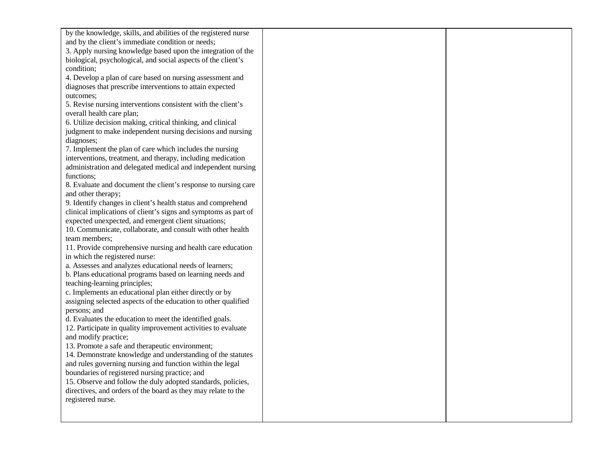| by the knowledge, skills, and abilities of the registered nurse |  |
|-----------------------------------------------------------------|--|
|                                                                 |  |
| and by the client's immediate condition or needs;               |  |
| 3. Apply nursing knowledge based upon the integration of the    |  |
| biological, psychological, and social aspects of the client's   |  |
| condition;                                                      |  |
| 4. Develop a plan of care based on nursing assessment and       |  |
| diagnoses that prescribe interventions to attain expected       |  |
| outcomes;                                                       |  |
| 5. Revise nursing interventions consistent with the client's    |  |
| overall health care plan;                                       |  |
| 6. Utilize decision making, critical thinking, and clinical     |  |
| judgment to make independent nursing decisions and nursing      |  |
| diagnoses;                                                      |  |
| 7. Implement the plan of care which includes the nursing        |  |
| interventions, treatment, and therapy, including medication     |  |
| administration and delegated medical and independent nursing    |  |
| functions;                                                      |  |
| 8. Evaluate and document the client's response to nursing care  |  |
| and other therapy;                                              |  |
| 9. Identify changes in client's health status and comprehend    |  |
| clinical implications of client's signs and symptoms as part of |  |
| expected unexpected, and emergent client situations;            |  |
| 10. Communicate, collaborate, and consult with other health     |  |
| team members;                                                   |  |
| 11. Provide comprehensive nursing and health care education     |  |
| in which the registered nurse:                                  |  |
| a. Assesses and analyzes educational needs of learners;         |  |
| b. Plans educational programs based on learning needs and       |  |
| teaching-learning principles;                                   |  |
| c. Implements an educational plan either directly or by         |  |
| assigning selected aspects of the education to other qualified  |  |
| persons; and                                                    |  |
| d. Evaluates the education to meet the identified goals.        |  |
| 12. Participate in quality improvement activities to evaluate   |  |
| and modify practice;                                            |  |
| 13. Promote a safe and therapeutic environment;                 |  |
| 14. Demonstrate knowledge and understanding of the statutes     |  |
| and rules governing nursing and function within the legal       |  |
| boundaries of registered nursing practice; and                  |  |
| 15. Observe and follow the duly adopted standards, policies,    |  |
| directives, and orders of the board as they may relate to the   |  |
| registered nurse.                                               |  |
|                                                                 |  |
|                                                                 |  |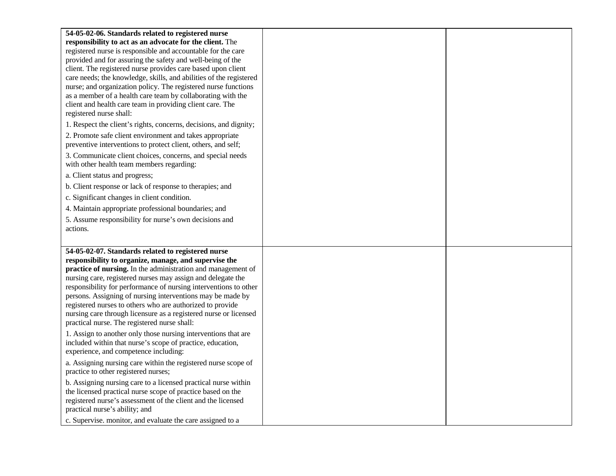| 54-05-02-06. Standards related to registered nurse                                                                      |  |
|-------------------------------------------------------------------------------------------------------------------------|--|
| responsibility to act as an advocate for the client. The                                                                |  |
| registered nurse is responsible and accountable for the care                                                            |  |
| provided and for assuring the safety and well-being of the                                                              |  |
| client. The registered nurse provides care based upon client                                                            |  |
| care needs; the knowledge, skills, and abilities of the registered                                                      |  |
| nurse; and organization policy. The registered nurse functions                                                          |  |
| as a member of a health care team by collaborating with the                                                             |  |
| client and health care team in providing client care. The                                                               |  |
| registered nurse shall:                                                                                                 |  |
| 1. Respect the client's rights, concerns, decisions, and dignity;                                                       |  |
| 2. Promote safe client environment and takes appropriate                                                                |  |
| preventive interventions to protect client, others, and self;                                                           |  |
| 3. Communicate client choices, concerns, and special needs                                                              |  |
| with other health team members regarding:                                                                               |  |
| a. Client status and progress;                                                                                          |  |
| b. Client response or lack of response to therapies; and                                                                |  |
| c. Significant changes in client condition.                                                                             |  |
| 4. Maintain appropriate professional boundaries; and                                                                    |  |
| 5. Assume responsibility for nurse's own decisions and                                                                  |  |
| actions.                                                                                                                |  |
|                                                                                                                         |  |
| 54-05-02-07. Standards related to registered nurse                                                                      |  |
| responsibility to organize, manage, and supervise the                                                                   |  |
| practice of nursing. In the administration and management of                                                            |  |
| nursing care, registered nurses may assign and delegate the                                                             |  |
| responsibility for performance of nursing interventions to other                                                        |  |
| persons. Assigning of nursing interventions may be made by<br>registered nurses to others who are authorized to provide |  |
| nursing care through licensure as a registered nurse or licensed                                                        |  |
| practical nurse. The registered nurse shall:                                                                            |  |
| 1. Assign to another only those nursing interventions that are                                                          |  |
| included within that nurse's scope of practice, education,                                                              |  |
| experience, and competence including:                                                                                   |  |
| a. Assigning nursing care within the registered nurse scope of                                                          |  |
| practice to other registered nurses;                                                                                    |  |
| b. Assigning nursing care to a licensed practical nurse within                                                          |  |
|                                                                                                                         |  |
| the licensed practical nurse scope of practice based on the                                                             |  |
| registered nurse's assessment of the client and the licensed                                                            |  |
| practical nurse's ability; and<br>c. Supervise. monitor, and evaluate the care assigned to a                            |  |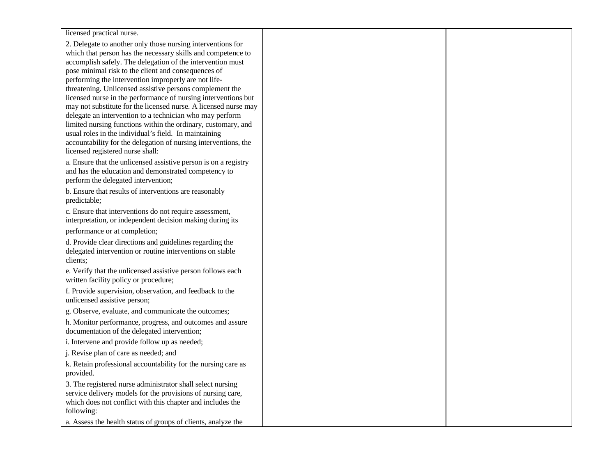licensed practical nurse.

2. Delegate to another only those nursing interventions for which that person has the necessary skills and competence to accomplish safely. The delegation of the intervention must pose minimal risk to the client and consequences of performing the intervention improperly are not lifethreatening. Unlicensed assistive persons complement the licensed nurse in the performance of nursing interventions but may not substitute for the licensed nurse. A licensed nurse may delegate an intervention to a technician who may perform limited nursing functions within the ordinary, customary, and usual roles in the individual's field. In maintaining accountability for the delegation of nursing interventions, the licensed registered nurse shall:

a. Ensure that the unlicensed assistive person is on a registry and has the education and demonstrated competency to perform the delegated intervention;

b. Ensure that results of interventions are reasonably predictable;

c. Ensure that interventions do not require assessment, interpretation, or independent decision making during its

performance or at completion;

d. Provide clear directions and guidelines regarding the delegated intervention or routine interventions on stable clients;

e. Verify that the unlicensed assistive person follows each written facility policy or procedure;

f. Provide supervision, observation, and feedback to the unlicensed assistive person;

g. Observe, evaluate, and communicate the outcomes;

h. Monitor performance, progress, and outcomes and assure documentation of the delegated intervention;

i. Intervene and provide follow up as needed;

j. Revise plan of care as needed; and

k. Retain professional accountability for the nursing care as provided.

3. The registered nurse administrator shall select nursing service delivery models for the provisions of nursing care, which does not conflict with this chapter and includes the following:

a. Assess the health status of groups of clients, analyze the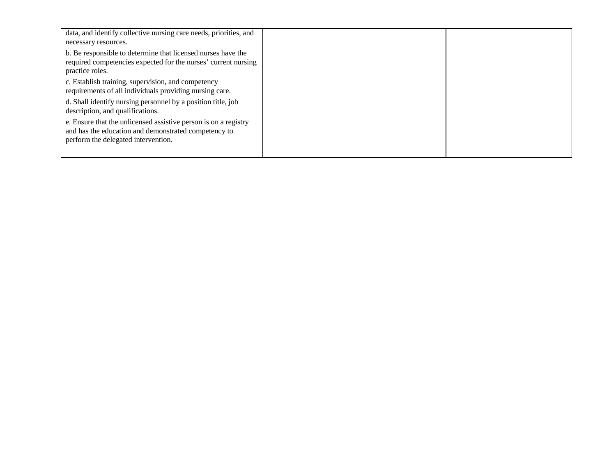| data, and identify collective nursing care needs, priorities, and<br>necessary resources.                                                                      |  |
|----------------------------------------------------------------------------------------------------------------------------------------------------------------|--|
| b. Be responsible to determine that licensed nurses have the<br>required competencies expected for the nurses' current nursing<br>practice roles.              |  |
| c. Establish training, supervision, and competency<br>requirements of all individuals providing nursing care.                                                  |  |
| d. Shall identify nursing personnel by a position title, job<br>description, and qualifications.                                                               |  |
| e. Ensure that the unlicensed assistive person is on a registry<br>and has the education and demonstrated competency to<br>perform the delegated intervention. |  |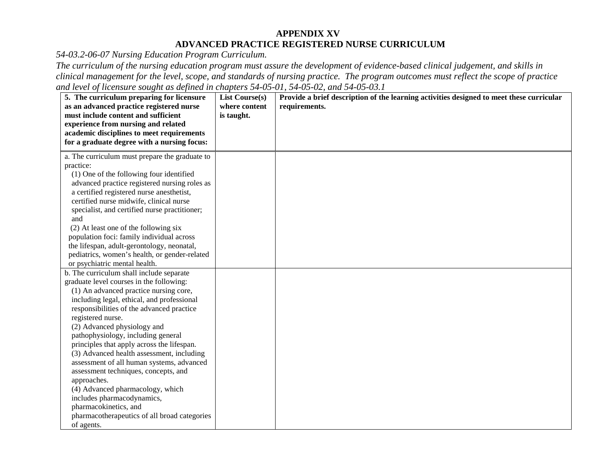### **APPENDIX XV ADVANCED PRACTICE REGISTERED NURSE CURRICULUM**

*54-03.2-06-07 Nursing Education Program Curriculum.*

*The curriculum of the nursing education program must assure the development of evidence-based clinical judgement, and skills in clinical management for the level, scope, and standards of nursing practice. The program outcomes must reflect the scope of practice and level of licensure sought as defined in chapters 54-05-01, 54-05-02, and 54-05-03.1*

| 5. The curriculum preparing for licensure      | <b>List Course(s)</b> | Provide a brief description of the learning activities designed to meet these curricular |
|------------------------------------------------|-----------------------|------------------------------------------------------------------------------------------|
| as an advanced practice registered nurse       | where content         | requirements.                                                                            |
| must include content and sufficient            | is taught.            |                                                                                          |
| experience from nursing and related            |                       |                                                                                          |
| academic disciplines to meet requirements      |                       |                                                                                          |
| for a graduate degree with a nursing focus:    |                       |                                                                                          |
| a. The curriculum must prepare the graduate to |                       |                                                                                          |
| practice:                                      |                       |                                                                                          |
| (1) One of the following four identified       |                       |                                                                                          |
| advanced practice registered nursing roles as  |                       |                                                                                          |
| a certified registered nurse anesthetist,      |                       |                                                                                          |
| certified nurse midwife, clinical nurse        |                       |                                                                                          |
| specialist, and certified nurse practitioner;  |                       |                                                                                          |
| and                                            |                       |                                                                                          |
| (2) At least one of the following six          |                       |                                                                                          |
| population foci: family individual across      |                       |                                                                                          |
| the lifespan, adult-gerontology, neonatal,     |                       |                                                                                          |
| pediatrics, women's health, or gender-related  |                       |                                                                                          |
| or psychiatric mental health.                  |                       |                                                                                          |
| b. The curriculum shall include separate       |                       |                                                                                          |
| graduate level courses in the following:       |                       |                                                                                          |
| (1) An advanced practice nursing core,         |                       |                                                                                          |
| including legal, ethical, and professional     |                       |                                                                                          |
| responsibilities of the advanced practice      |                       |                                                                                          |
| registered nurse.                              |                       |                                                                                          |
| (2) Advanced physiology and                    |                       |                                                                                          |
| pathophysiology, including general             |                       |                                                                                          |
| principles that apply across the lifespan.     |                       |                                                                                          |
| (3) Advanced health assessment, including      |                       |                                                                                          |
| assessment of all human systems, advanced      |                       |                                                                                          |
| assessment techniques, concepts, and           |                       |                                                                                          |
| approaches.                                    |                       |                                                                                          |
| (4) Advanced pharmacology, which               |                       |                                                                                          |
| includes pharmacodynamics,                     |                       |                                                                                          |
| pharmacokinetics, and                          |                       |                                                                                          |
| pharmacotherapeutics of all broad categories   |                       |                                                                                          |
| of agents.                                     |                       |                                                                                          |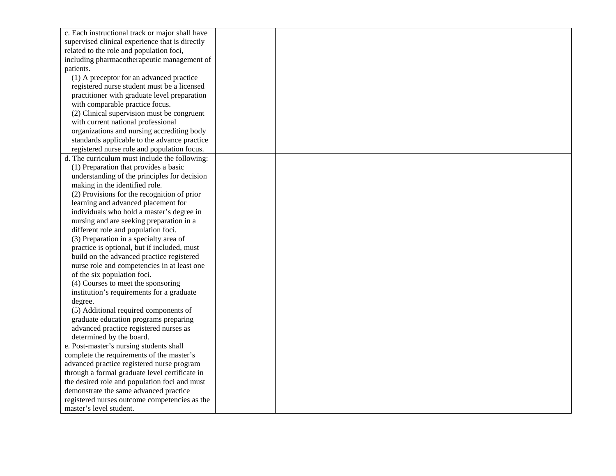| c. Each instructional track or major shall have |  |
|-------------------------------------------------|--|
| supervised clinical experience that is directly |  |
| related to the role and population foci,        |  |
| including pharmacotherapeutic management of     |  |
| patients.                                       |  |
| (1) A preceptor for an advanced practice        |  |
| registered nurse student must be a licensed     |  |
| practitioner with graduate level preparation    |  |
| with comparable practice focus.                 |  |
| (2) Clinical supervision must be congruent      |  |
| with current national professional              |  |
| organizations and nursing accrediting body      |  |
| standards applicable to the advance practice    |  |
| registered nurse role and population focus.     |  |
| d. The curriculum must include the following:   |  |
| (1) Preparation that provides a basic           |  |
| understanding of the principles for decision    |  |
| making in the identified role.                  |  |
| (2) Provisions for the recognition of prior     |  |
| learning and advanced placement for             |  |
| individuals who hold a master's degree in       |  |
| nursing and are seeking preparation in a        |  |
| different role and population foci.             |  |
| (3) Preparation in a specialty area of          |  |
| practice is optional, but if included, must     |  |
| build on the advanced practice registered       |  |
| nurse role and competencies in at least one     |  |
| of the six population foci.                     |  |
| (4) Courses to meet the sponsoring              |  |
| institution's requirements for a graduate       |  |
| degree.                                         |  |
| (5) Additional required components of           |  |
| graduate education programs preparing           |  |
| advanced practice registered nurses as          |  |
| determined by the board.                        |  |
| e. Post-master's nursing students shall         |  |
| complete the requirements of the master's       |  |
| advanced practice registered nurse program      |  |
| through a formal graduate level certificate in  |  |
| the desired role and population foci and must   |  |
| demonstrate the same advanced practice          |  |
| registered nurses outcome competencies as the   |  |
| master's level student.                         |  |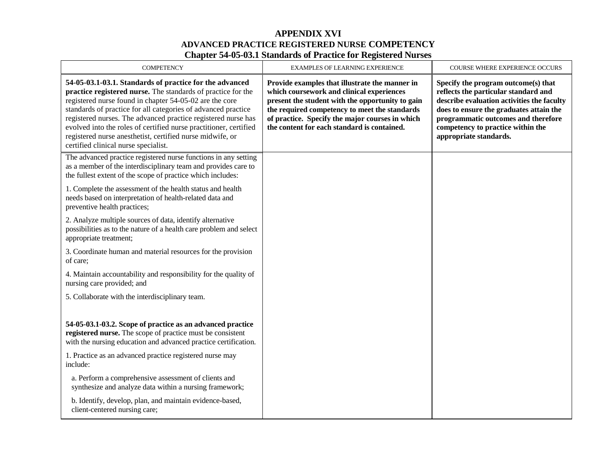### **APPENDIX XVI ADVANCED PRACTICE REGISTERED NURSE COMPETENCY Chapter 54-05-03.1 Standards of Practice for Registered Nurses**

| <b>COMPETENCY</b>                                                                                                                                                                                                                                                                                                                                                                                                                                                                              | <b>EXAMPLES OF LEARNING EXPERIENCE</b>                                                                                                                                                                                                                                                             | <b>COURSE WHERE EXPERIENCE OCCURS</b>                                                                                                                                                                                                                                      |
|------------------------------------------------------------------------------------------------------------------------------------------------------------------------------------------------------------------------------------------------------------------------------------------------------------------------------------------------------------------------------------------------------------------------------------------------------------------------------------------------|----------------------------------------------------------------------------------------------------------------------------------------------------------------------------------------------------------------------------------------------------------------------------------------------------|----------------------------------------------------------------------------------------------------------------------------------------------------------------------------------------------------------------------------------------------------------------------------|
| 54-05-03.1-03.1. Standards of practice for the advanced<br>practice registered nurse. The standards of practice for the<br>registered nurse found in chapter 54-05-02 are the core<br>standards of practice for all categories of advanced practice<br>registered nurses. The advanced practice registered nurse has<br>evolved into the roles of certified nurse practitioner, certified<br>registered nurse anesthetist, certified nurse midwife, or<br>certified clinical nurse specialist. | Provide examples that illustrate the manner in<br>which coursework and clinical experiences<br>present the student with the opportunity to gain<br>the required competency to meet the standards<br>of practice. Specify the major courses in which<br>the content for each standard is contained. | Specify the program outcome(s) that<br>reflects the particular standard and<br>describe evaluation activities the faculty<br>does to ensure the graduates attain the<br>programmatic outcomes and therefore<br>competency to practice within the<br>appropriate standards. |
| The advanced practice registered nurse functions in any setting<br>as a member of the interdisciplinary team and provides care to<br>the fullest extent of the scope of practice which includes:                                                                                                                                                                                                                                                                                               |                                                                                                                                                                                                                                                                                                    |                                                                                                                                                                                                                                                                            |
| 1. Complete the assessment of the health status and health<br>needs based on interpretation of health-related data and<br>preventive health practices;                                                                                                                                                                                                                                                                                                                                         |                                                                                                                                                                                                                                                                                                    |                                                                                                                                                                                                                                                                            |
| 2. Analyze multiple sources of data, identify alternative<br>possibilities as to the nature of a health care problem and select<br>appropriate treatment;                                                                                                                                                                                                                                                                                                                                      |                                                                                                                                                                                                                                                                                                    |                                                                                                                                                                                                                                                                            |
| 3. Coordinate human and material resources for the provision<br>of care;                                                                                                                                                                                                                                                                                                                                                                                                                       |                                                                                                                                                                                                                                                                                                    |                                                                                                                                                                                                                                                                            |
| 4. Maintain accountability and responsibility for the quality of<br>nursing care provided; and                                                                                                                                                                                                                                                                                                                                                                                                 |                                                                                                                                                                                                                                                                                                    |                                                                                                                                                                                                                                                                            |
| 5. Collaborate with the interdisciplinary team.                                                                                                                                                                                                                                                                                                                                                                                                                                                |                                                                                                                                                                                                                                                                                                    |                                                                                                                                                                                                                                                                            |
| 54-05-03.1-03.2. Scope of practice as an advanced practice<br>registered nurse. The scope of practice must be consistent<br>with the nursing education and advanced practice certification.                                                                                                                                                                                                                                                                                                    |                                                                                                                                                                                                                                                                                                    |                                                                                                                                                                                                                                                                            |
| 1. Practice as an advanced practice registered nurse may<br>include:                                                                                                                                                                                                                                                                                                                                                                                                                           |                                                                                                                                                                                                                                                                                                    |                                                                                                                                                                                                                                                                            |
| a. Perform a comprehensive assessment of clients and<br>synthesize and analyze data within a nursing framework;                                                                                                                                                                                                                                                                                                                                                                                |                                                                                                                                                                                                                                                                                                    |                                                                                                                                                                                                                                                                            |
| b. Identify, develop, plan, and maintain evidence-based,<br>client-centered nursing care;                                                                                                                                                                                                                                                                                                                                                                                                      |                                                                                                                                                                                                                                                                                                    |                                                                                                                                                                                                                                                                            |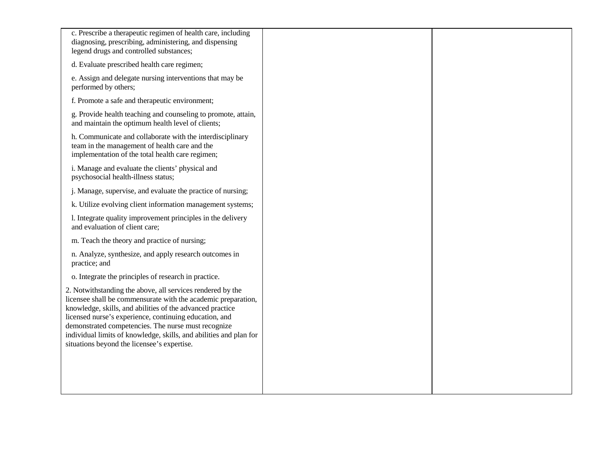| c. Prescribe a therapeutic regimen of health care, including<br>diagnosing, prescribing, administering, and dispensing<br>legend drugs and controlled substances;                                                                                                                                                                                                                                                              |  |
|--------------------------------------------------------------------------------------------------------------------------------------------------------------------------------------------------------------------------------------------------------------------------------------------------------------------------------------------------------------------------------------------------------------------------------|--|
| d. Evaluate prescribed health care regimen;                                                                                                                                                                                                                                                                                                                                                                                    |  |
| e. Assign and delegate nursing interventions that may be<br>performed by others;                                                                                                                                                                                                                                                                                                                                               |  |
| f. Promote a safe and therapeutic environment;                                                                                                                                                                                                                                                                                                                                                                                 |  |
| g. Provide health teaching and counseling to promote, attain,<br>and maintain the optimum health level of clients;                                                                                                                                                                                                                                                                                                             |  |
| h. Communicate and collaborate with the interdisciplinary<br>team in the management of health care and the<br>implementation of the total health care regimen;                                                                                                                                                                                                                                                                 |  |
| i. Manage and evaluate the clients' physical and<br>psychosocial health-illness status;                                                                                                                                                                                                                                                                                                                                        |  |
| j. Manage, supervise, and evaluate the practice of nursing;                                                                                                                                                                                                                                                                                                                                                                    |  |
| k. Utilize evolving client information management systems;                                                                                                                                                                                                                                                                                                                                                                     |  |
| 1. Integrate quality improvement principles in the delivery<br>and evaluation of client care;                                                                                                                                                                                                                                                                                                                                  |  |
| m. Teach the theory and practice of nursing;                                                                                                                                                                                                                                                                                                                                                                                   |  |
| n. Analyze, synthesize, and apply research outcomes in<br>practice; and                                                                                                                                                                                                                                                                                                                                                        |  |
| o. Integrate the principles of research in practice.                                                                                                                                                                                                                                                                                                                                                                           |  |
| 2. Notwithstanding the above, all services rendered by the<br>licensee shall be commensurate with the academic preparation,<br>knowledge, skills, and abilities of the advanced practice<br>licensed nurse's experience, continuing education, and<br>demonstrated competencies. The nurse must recognize<br>individual limits of knowledge, skills, and abilities and plan for<br>situations beyond the licensee's expertise. |  |
|                                                                                                                                                                                                                                                                                                                                                                                                                                |  |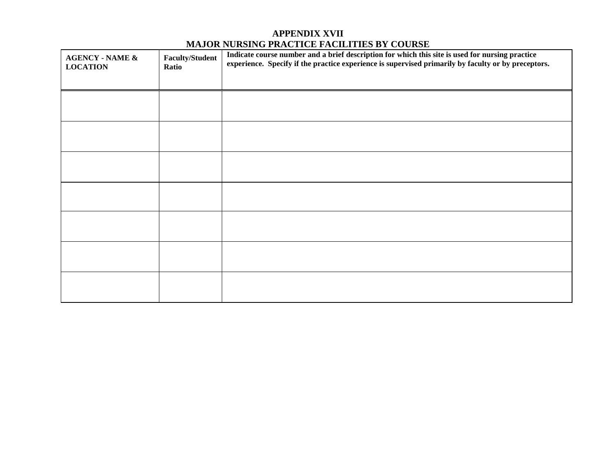# **APPENDIX XVII MAJOR NURSING PRACTICE FACILITIES BY COURSE**

| <b>AGENCY - NAME &amp;</b><br><b>LOCATION</b> | <b>Faculty/Student</b><br>Ratio | Indicate course number and a brief description for which this site is used for nursing practice<br>experience. Specify if the practice experience is supervised primarily by faculty or by preceptors. |
|-----------------------------------------------|---------------------------------|--------------------------------------------------------------------------------------------------------------------------------------------------------------------------------------------------------|
|                                               |                                 |                                                                                                                                                                                                        |
|                                               |                                 |                                                                                                                                                                                                        |
|                                               |                                 |                                                                                                                                                                                                        |
|                                               |                                 |                                                                                                                                                                                                        |
|                                               |                                 |                                                                                                                                                                                                        |
|                                               |                                 |                                                                                                                                                                                                        |
|                                               |                                 |                                                                                                                                                                                                        |
|                                               |                                 |                                                                                                                                                                                                        |
|                                               |                                 |                                                                                                                                                                                                        |
|                                               |                                 |                                                                                                                                                                                                        |
|                                               |                                 |                                                                                                                                                                                                        |
|                                               |                                 |                                                                                                                                                                                                        |
|                                               |                                 |                                                                                                                                                                                                        |
|                                               |                                 |                                                                                                                                                                                                        |